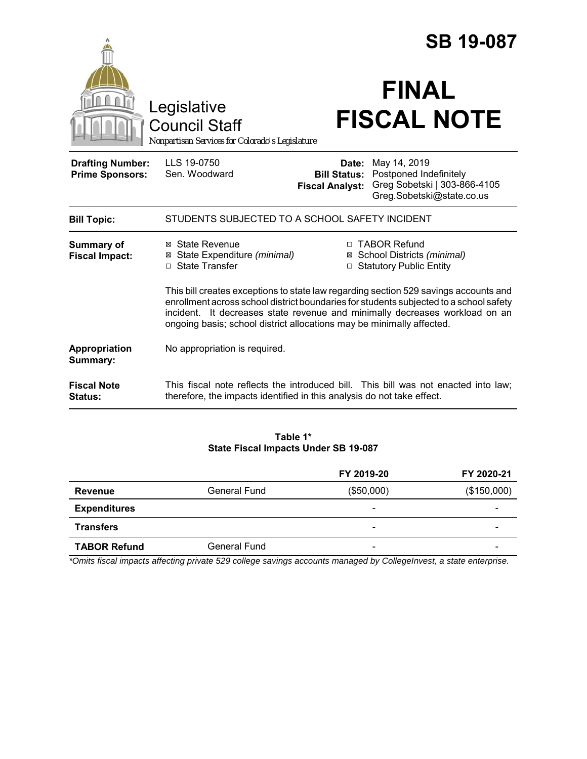|                                                   |                                                                                        |                                                        | <b>SB 19-087</b>                                                                                                                                                                                                                                    |  |
|---------------------------------------------------|----------------------------------------------------------------------------------------|--------------------------------------------------------|-----------------------------------------------------------------------------------------------------------------------------------------------------------------------------------------------------------------------------------------------------|--|
|                                                   | Legislative<br><b>Council Staff</b><br>Nonpartisan Services for Colorado's Legislature |                                                        | <b>FINAL</b><br><b>FISCAL NOTE</b>                                                                                                                                                                                                                  |  |
| <b>Drafting Number:</b><br><b>Prime Sponsors:</b> | LLS 19-0750<br>Sen. Woodward                                                           | Date:<br><b>Bill Status:</b><br><b>Fiscal Analyst:</b> | May 14, 2019<br>Postponed Indefinitely<br>Greg Sobetski   303-866-4105<br>Greg.Sobetski@state.co.us                                                                                                                                                 |  |
| <b>Bill Topic:</b>                                | STUDENTS SUBJECTED TO A SCHOOL SAFETY INCIDENT                                         |                                                        |                                                                                                                                                                                                                                                     |  |
| <b>Summary of</b><br><b>Fiscal Impact:</b>        | ⊠ State Revenue<br>⊠ State Expenditure (minimal)<br>□ State Transfer                   |                                                        | □ TABOR Refund<br>⊠ School Districts (minimal)<br>□ Statutory Public Entity                                                                                                                                                                         |  |
|                                                   | incident.<br>ongoing basis; school district allocations may be minimally affected.     |                                                        | This bill creates exceptions to state law regarding section 529 savings accounts and<br>enrollment across school district boundaries for students subjected to a school safety<br>It decreases state revenue and minimally decreases workload on an |  |
| Appropriation<br>Summary:                         | No appropriation is required.                                                          |                                                        |                                                                                                                                                                                                                                                     |  |
| <b>Fiscal Note</b><br>Status:                     | therefore, the impacts identified in this analysis do not take effect.                 |                                                        | This fiscal note reflects the introduced bill. This bill was not enacted into law;                                                                                                                                                                  |  |

### **Table 1\* State Fiscal Impacts Under SB 19-087**

|                     |              | FY 2019-20               | FY 2020-21  |
|---------------------|--------------|--------------------------|-------------|
| Revenue             | General Fund | (\$50,000)               | (\$150,000) |
| <b>Expenditures</b> |              | $\overline{\phantom{a}}$ |             |
| <b>Transfers</b>    |              | -                        |             |
| <b>TABOR Refund</b> | General Fund | $\overline{\phantom{0}}$ |             |

*\*Omits fiscal impacts affecting private 529 college savings accounts managed by CollegeInvest, a state enterprise.*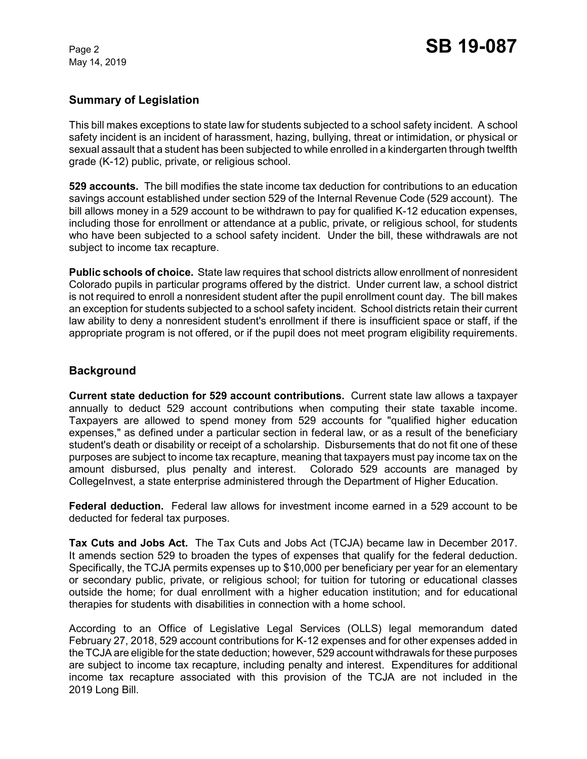May 14, 2019

## **Summary of Legislation**

This bill makes exceptions to state law for students subjected to a school safety incident. A school safety incident is an incident of harassment, hazing, bullying, threat or intimidation, or physical or sexual assault that a student has been subjected to while enrolled in a kindergarten through twelfth grade (K-12) public, private, or religious school.

**529 accounts.** The bill modifies the state income tax deduction for contributions to an education savings account established under section 529 of the Internal Revenue Code (529 account). The bill allows money in a 529 account to be withdrawn to pay for qualified K-12 education expenses, including those for enrollment or attendance at a public, private, or religious school, for students who have been subjected to a school safety incident. Under the bill, these withdrawals are not subject to income tax recapture.

**Public schools of choice.** State law requires that school districts allow enrollment of nonresident Colorado pupils in particular programs offered by the district. Under current law, a school district is not required to enroll a nonresident student after the pupil enrollment count day. The bill makes an exception for students subjected to a school safety incident. School districts retain their current law ability to deny a nonresident student's enrollment if there is insufficient space or staff, if the appropriate program is not offered, or if the pupil does not meet program eligibility requirements.

## **Background**

**Current state deduction for 529 account contributions.** Current state law allows a taxpayer annually to deduct 529 account contributions when computing their state taxable income. Taxpayers are allowed to spend money from 529 accounts for "qualified higher education expenses," as defined under a particular section in federal law, or as a result of the beneficiary student's death or disability or receipt of a scholarship. Disbursements that do not fit one of these purposes are subject to income tax recapture, meaning that taxpayers must pay income tax on the amount disbursed, plus penalty and interest. Colorado 529 accounts are managed by CollegeInvest, a state enterprise administered through the Department of Higher Education.

**Federal deduction.** Federal law allows for investment income earned in a 529 account to be deducted for federal tax purposes.

**Tax Cuts and Jobs Act.** The Tax Cuts and Jobs Act (TCJA) became law in December 2017. It amends section 529 to broaden the types of expenses that qualify for the federal deduction. Specifically, the TCJA permits expenses up to \$10,000 per beneficiary per year for an elementary or secondary public, private, or religious school; for tuition for tutoring or educational classes outside the home; for dual enrollment with a higher education institution; and for educational therapies for students with disabilities in connection with a home school.

According to an Office of Legislative Legal Services (OLLS) legal memorandum dated February 27, 2018, 529 account contributions for K-12 expenses and for other expenses added in the TCJA are eligible for the state deduction; however, 529 account withdrawals for these purposes are subject to income tax recapture, including penalty and interest. Expenditures for additional income tax recapture associated with this provision of the TCJA are not included in the 2019 Long Bill.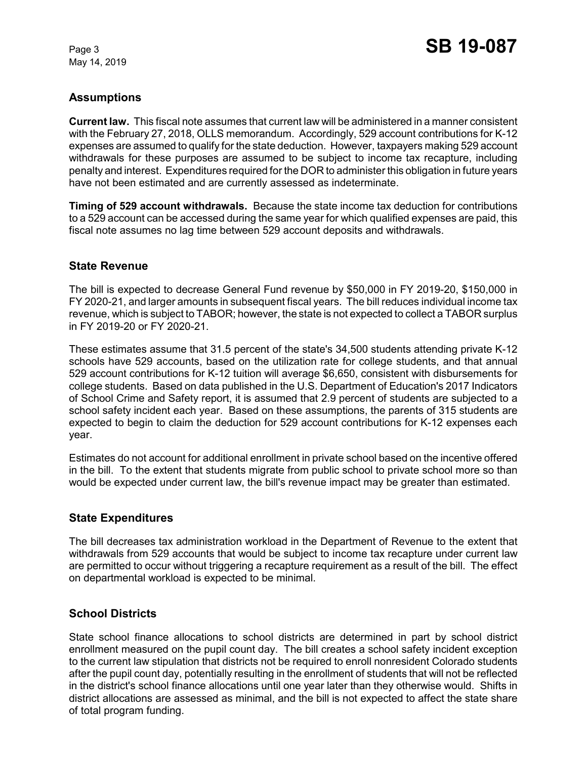May 14, 2019

# **Assumptions**

**Current law.** This fiscal note assumes that current law will be administered in a manner consistent with the February 27, 2018, OLLS memorandum. Accordingly, 529 account contributions for K-12 expenses are assumed to qualify for the state deduction. However, taxpayers making 529 account withdrawals for these purposes are assumed to be subject to income tax recapture, including penalty and interest. Expenditures required for the DOR to administer this obligation in future years have not been estimated and are currently assessed as indeterminate.

**Timing of 529 account withdrawals.** Because the state income tax deduction for contributions to a 529 account can be accessed during the same year for which qualified expenses are paid, this fiscal note assumes no lag time between 529 account deposits and withdrawals.

## **State Revenue**

The bill is expected to decrease General Fund revenue by \$50,000 in FY 2019-20, \$150,000 in FY 2020-21, and larger amounts in subsequent fiscal years. The bill reduces individual income tax revenue, which is subject to TABOR; however, the state is not expected to collect a TABOR surplus in FY 2019-20 or FY 2020-21.

These estimates assume that 31.5 percent of the state's 34,500 students attending private K-12 schools have 529 accounts, based on the utilization rate for college students, and that annual 529 account contributions for K-12 tuition will average \$6,650, consistent with disbursements for college students. Based on data published in the U.S. Department of Education's 2017 Indicators of School Crime and Safety report, it is assumed that 2.9 percent of students are subjected to a school safety incident each year. Based on these assumptions, the parents of 315 students are expected to begin to claim the deduction for 529 account contributions for K-12 expenses each year.

Estimates do not account for additional enrollment in private school based on the incentive offered in the bill. To the extent that students migrate from public school to private school more so than would be expected under current law, the bill's revenue impact may be greater than estimated.

# **State Expenditures**

The bill decreases tax administration workload in the Department of Revenue to the extent that withdrawals from 529 accounts that would be subject to income tax recapture under current law are permitted to occur without triggering a recapture requirement as a result of the bill. The effect on departmental workload is expected to be minimal.

## **School Districts**

State school finance allocations to school districts are determined in part by school district enrollment measured on the pupil count day. The bill creates a school safety incident exception to the current law stipulation that districts not be required to enroll nonresident Colorado students after the pupil count day, potentially resulting in the enrollment of students that will not be reflected in the district's school finance allocations until one year later than they otherwise would. Shifts in district allocations are assessed as minimal, and the bill is not expected to affect the state share of total program funding.